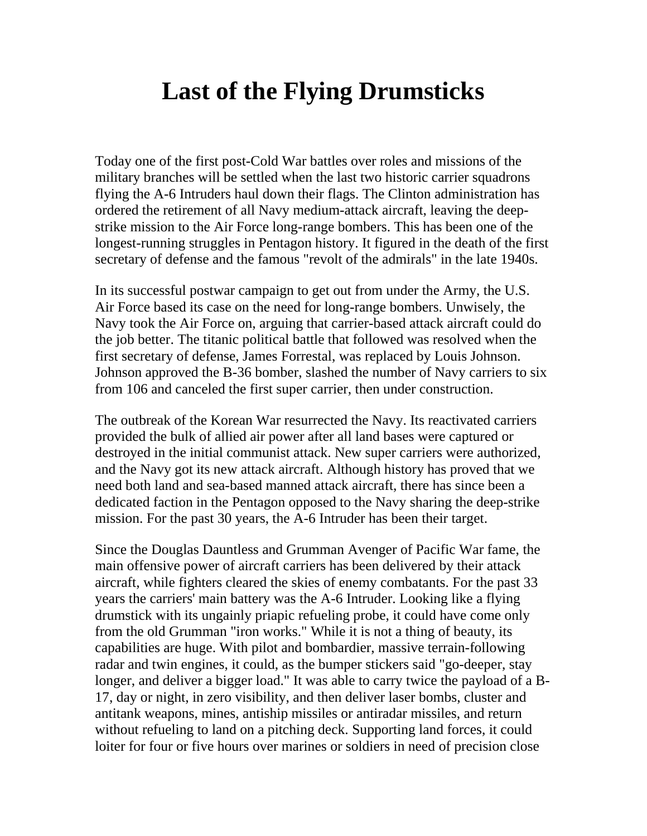## **Last of the Flying Drumsticks**

Today one of the first post-Cold War battles over roles and missions of the military branches will be settled when the last two historic carrier squadrons flying the A-6 Intruders haul down their flags. The Clinton administration has ordered the retirement of all Navy medium-attack aircraft, leaving the deepstrike mission to the Air Force long-range bombers. This has been one of the longest-running struggles in Pentagon history. It figured in the death of the first secretary of defense and the famous "revolt of the admirals" in the late 1940s.

In its successful postwar campaign to get out from under the Army, the U.S. Air Force based its case on the need for long-range bombers. Unwisely, the Navy took the Air Force on, arguing that carrier-based attack aircraft could do the job better. The titanic political battle that followed was resolved when the first secretary of defense, James Forrestal, was replaced by Louis Johnson. Johnson approved the B-36 bomber, slashed the number of Navy carriers to six from 106 and canceled the first super carrier, then under construction.

The outbreak of the Korean War resurrected the Navy. Its reactivated carriers provided the bulk of allied air power after all land bases were captured or destroyed in the initial communist attack. New super carriers were authorized, and the Navy got its new attack aircraft. Although history has proved that we need both land and sea-based manned attack aircraft, there has since been a dedicated faction in the Pentagon opposed to the Navy sharing the deep-strike mission. For the past 30 years, the A-6 Intruder has been their target.

Since the Douglas Dauntless and Grumman Avenger of Pacific War fame, the main offensive power of aircraft carriers has been delivered by their attack aircraft, while fighters cleared the skies of enemy combatants. For the past 33 years the carriers' main battery was the A-6 Intruder. Looking like a flying drumstick with its ungainly priapic refueling probe, it could have come only from the old Grumman "iron works." While it is not a thing of beauty, its capabilities are huge. With pilot and bombardier, massive terrain-following radar and twin engines, it could, as the bumper stickers said "go-deeper, stay longer, and deliver a bigger load." It was able to carry twice the payload of a B-17, day or night, in zero visibility, and then deliver laser bombs, cluster and antitank weapons, mines, antiship missiles or antiradar missiles, and return without refueling to land on a pitching deck. Supporting land forces, it could loiter for four or five hours over marines or soldiers in need of precision close